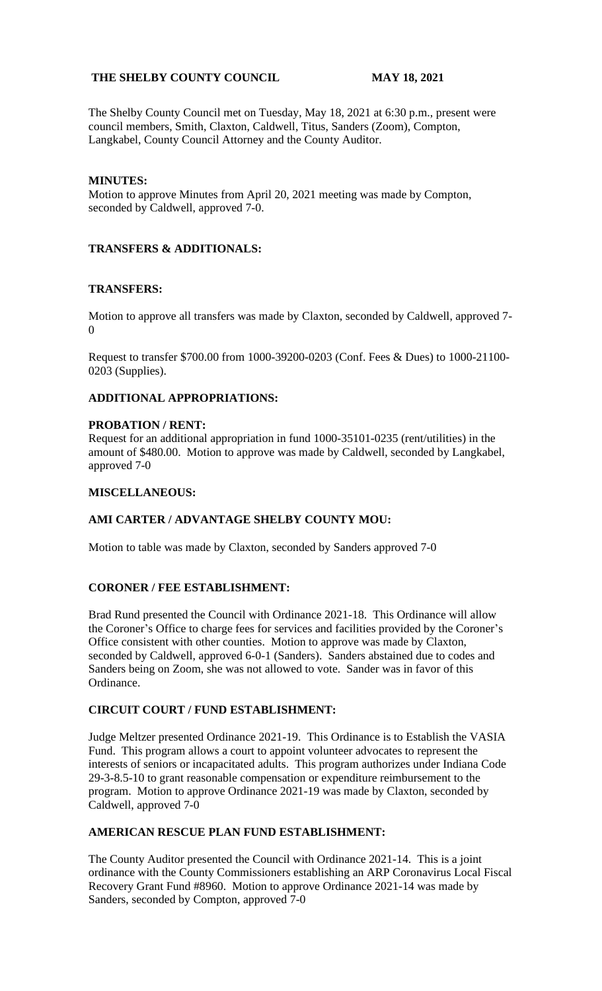# **THE SHELBY COUNTY COUNCIL MAY 18, 2021**

The Shelby County Council met on Tuesday, May 18, 2021 at 6:30 p.m., present were council members, Smith, Claxton, Caldwell, Titus, Sanders (Zoom), Compton, Langkabel, County Council Attorney and the County Auditor.

## **MINUTES:**

Motion to approve Minutes from April 20, 2021 meeting was made by Compton, seconded by Caldwell, approved 7-0.

## **TRANSFERS & ADDITIONALS:**

## **TRANSFERS:**

Motion to approve all transfers was made by Claxton, seconded by Caldwell, approved 7- 0

Request to transfer \$700.00 from 1000-39200-0203 (Conf. Fees & Dues) to 1000-21100- 0203 (Supplies).

# **ADDITIONAL APPROPRIATIONS:**

#### **PROBATION / RENT:**

Request for an additional appropriation in fund 1000-35101-0235 (rent/utilities) in the amount of \$480.00. Motion to approve was made by Caldwell, seconded by Langkabel, approved 7-0

## **MISCELLANEOUS:**

## **AMI CARTER / ADVANTAGE SHELBY COUNTY MOU:**

Motion to table was made by Claxton, seconded by Sanders approved 7-0

## **CORONER / FEE ESTABLISHMENT:**

Brad Rund presented the Council with Ordinance 2021-18. This Ordinance will allow the Coroner's Office to charge fees for services and facilities provided by the Coroner's Office consistent with other counties. Motion to approve was made by Claxton, seconded by Caldwell, approved 6-0-1 (Sanders). Sanders abstained due to codes and Sanders being on Zoom, she was not allowed to vote. Sander was in favor of this Ordinance.

#### **CIRCUIT COURT / FUND ESTABLISHMENT:**

Judge Meltzer presented Ordinance 2021-19. This Ordinance is to Establish the VASIA Fund. This program allows a court to appoint volunteer advocates to represent the interests of seniors or incapacitated adults. This program authorizes under Indiana Code 29-3-8.5-10 to grant reasonable compensation or expenditure reimbursement to the program. Motion to approve Ordinance 2021-19 was made by Claxton, seconded by Caldwell, approved 7-0

#### **AMERICAN RESCUE PLAN FUND ESTABLISHMENT:**

The County Auditor presented the Council with Ordinance 2021-14. This is a joint ordinance with the County Commissioners establishing an ARP Coronavirus Local Fiscal Recovery Grant Fund #8960. Motion to approve Ordinance 2021-14 was made by Sanders, seconded by Compton, approved 7-0